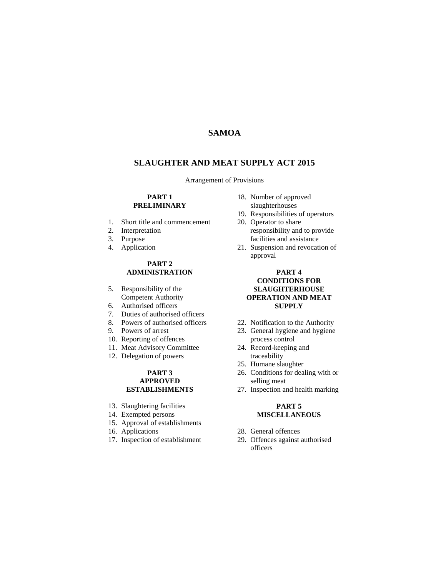### **SAMOA**

### **SLAUGHTER AND MEAT SUPPLY ACT 2015**

Arrangement of Provisions

#### **PART 1 PRELIMINARY**

- 1. Short title and commencement
- 2. Interpretation
- 3. Purpose
- 4. Application

#### **PART 2 ADMINISTRATION**

- 5. Responsibility of the Competent Authority
- 6. Authorised officers
- 7. Duties of authorised officers
- 8. Powers of authorised officers
- 9. Powers of arrest
- 10. Reporting of offences
- 11. Meat Advisory Committee
- 12. Delegation of powers

#### **PART 3 APPROVED ESTABLISHMENTS**

- 13. Slaughtering facilities
- 14. Exempted persons
- 15. Approval of establishments
- 16. Applications
- 17. Inspection of establishment
- 18. Number of approved slaughterhouses
- 19. Responsibilities of operators
- 20. Operator to share responsibility and to provide facilities and assistance
- 21. Suspension and revocation of approval

#### **PART 4 CONDITIONS FOR SLAUGHTERHOUSE OPERATION AND MEAT SUPPLY**

- 22. Notification to the Authority
- 23. General hygiene and hygiene process control
- 24. Record-keeping and traceability
- 25. Humane slaughter
- 26. Conditions for dealing with or selling meat
- 27. Inspection and health marking

#### **PART 5 MISCELLANEOUS**

- 28. General offences
- 29. Offences against authorised officers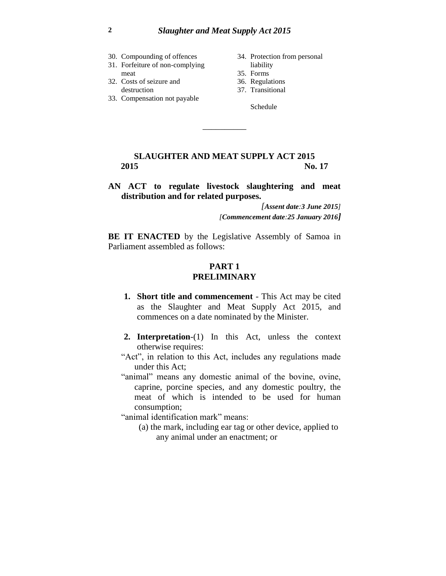- 30. Compounding of offences
- 31. Forfeiture of non-complying meat
- 32. Costs of seizure and destruction
- 33. Compensation not payable
- 34. Protection from personal liability
- 35. Forms
- 36. Regulations
- 37. Transitional

Schedule

## **SLAUGHTER AND MEAT SUPPLY ACT 2015 2015 No. 17**

\_\_\_\_\_\_\_\_\_\_

### **AN ACT to regulate livestock slaughtering and meat distribution and for related purposes.**

*[Assent date:3 June 2015] [Commencement date:25 January 2016]*

**BE IT ENACTED** by the Legislative Assembly of Samoa in Parliament assembled as follows:

## **PART 1 PRELIMINARY**

- **1. Short title and commencement** This Act may be cited as the Slaughter and Meat Supply Act 2015, and commences on a date nominated by the Minister.
- **2. Interpretation**-(1) In this Act, unless the context otherwise requires:
- "Act", in relation to this Act, includes any regulations made under this Act;
- "animal" means any domestic animal of the bovine, ovine, caprine, porcine species, and any domestic poultry, the meat of which is intended to be used for human consumption;

"animal identification mark" means:

(a) the mark, including ear tag or other device, applied to any animal under an enactment; or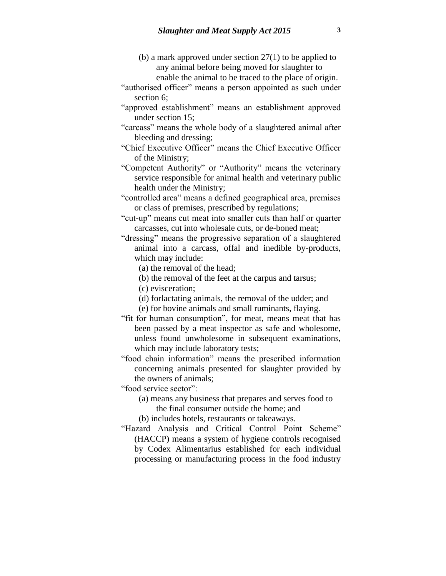- (b) a mark approved under section 27(1) to be applied to any animal before being moved for slaughter to enable the animal to be traced to the place of origin.
- "authorised officer" means a person appointed as such under section 6;
- "approved establishment" means an establishment approved under section 15;
- "carcass" means the whole body of a slaughtered animal after bleeding and dressing;
- "Chief Executive Officer" means the Chief Executive Officer of the Ministry;
- "Competent Authority" or "Authority" means the veterinary service responsible for animal health and veterinary public health under the Ministry;
- "controlled area" means a defined geographical area, premises or class of premises, prescribed by regulations;
- "cut-up" means cut meat into smaller cuts than half or quarter carcasses, cut into wholesale cuts, or de-boned meat;
- "dressing" means the progressive separation of a slaughtered animal into a carcass, offal and inedible by-products, which may include:
	- (a) the removal of the head;
	- (b) the removal of the feet at the carpus and tarsus;
	- (c) evisceration;
	- (d) forlactating animals, the removal of the udder; and
	- (e) for bovine animals and small ruminants, flaying.
- "fit for human consumption", for meat, means meat that has been passed by a meat inspector as safe and wholesome, unless found unwholesome in subsequent examinations, which may include laboratory tests;
- "food chain information" means the prescribed information concerning animals presented for slaughter provided by the owners of animals;

"food service sector":

- (a) means any business that prepares and serves food to
	- the final consumer outside the home; and
- (b) includes hotels, restaurants or takeaways.
- "Hazard Analysis and Critical Control Point Scheme" (HACCP) means a system of hygiene controls recognised by Codex Alimentarius established for each individual processing or manufacturing process in the food industry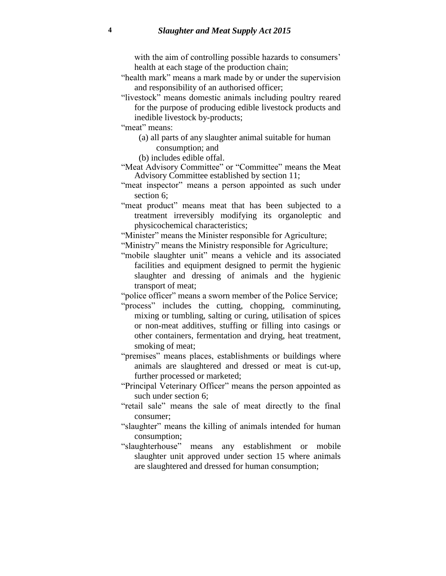with the aim of controlling possible hazards to consumers' health at each stage of the production chain;

- "health mark" means a mark made by or under the supervision and responsibility of an authorised officer;
- "livestock" means domestic animals including poultry reared for the purpose of producing edible livestock products and inedible livestock by-products;
- "meat" means:
	- (a) all parts of any slaughter animal suitable for human consumption; and
	- (b) includes edible offal.
- "Meat Advisory Committee" or "Committee" means the Meat Advisory Committee established by section 11;
- "meat inspector" means a person appointed as such under section 6;
- "meat product" means [meat](http://www.oie.int/index.php?id=169&L=0&htmfile=glossaire.htm#terme_viandes) that has been subjected to a treatment irreversibly modifying its organoleptic and physicochemical characteristics;

"Minister" means the Minister responsible for Agriculture;

- "Ministry" means the Ministry responsible for Agriculture;
- "mobile slaughter unit" means a vehicle and its associated facilities and equipment designed to permit the hygienic slaughter and dressing of animals and the hygienic transport of meat;

"police officer" means a sworn member of the Police Service;

- "process" includes the cutting, chopping, comminuting, mixing or tumbling, salting or curing, utilisation of spices or non-meat additives, stuffing or filling into casings or other containers, fermentation and drying, heat treatment, smoking of meat;
- "premises" means places, establishments or buildings where animals are slaughtered and dressed or meat is cut-up, further processed or marketed;
- "Principal Veterinary Officer" means the person appointed as such under section 6;
- "retail sale" means the sale of meat directly to the final consumer;
- "slaughter" means the killing of animals intended for human consumption;
- "slaughterhouse" means any establishment or mobile slaughter unit approved under section 15 where animals are slaughtered and dressed for human consumption;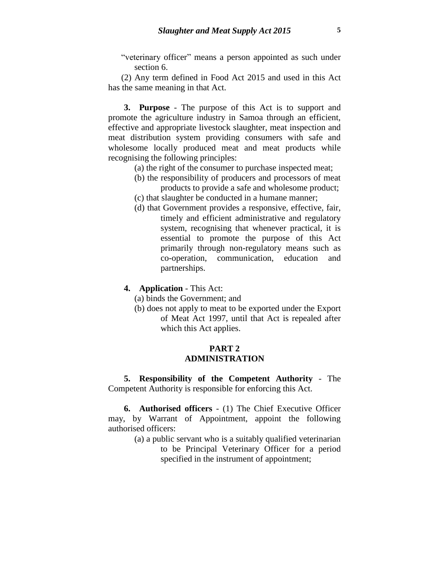"veterinary officer" means a person appointed as such under section 6.

(2) Any term defined in Food Act 2015 and used in this Act has the same meaning in that Act.

**3. Purpose** - The purpose of this Act is to support and promote the agriculture industry in Samoa through an efficient, effective and appropriate livestock slaughter, meat inspection and meat distribution system providing consumers with safe and wholesome locally produced meat and meat products while recognising the following principles:

- (a) the right of the consumer to purchase inspected meat;
- (b) the responsibility of producers and processors of meat products to provide a safe and wholesome product;
- (c) that slaughter be conducted in a humane manner;
- (d) that Government provides a responsive, effective, fair, timely and efficient administrative and regulatory system, recognising that whenever practical, it is essential to promote the purpose of this Act primarily through non-regulatory means such as co-operation, communication, education and partnerships.
- **4. Application** This Act:
	- (a) binds the Government; and
	- (b) does not apply to meat to be exported under the Export of Meat Act 1997, until that Act is repealed after which this Act applies.

### **PART 2 ADMINISTRATION**

**5. Responsibility of the Competent Authority** - The Competent Authority is responsible for enforcing this Act.

**6. Authorised officers** - (1) The Chief Executive Officer may, by Warrant of Appointment, appoint the following authorised officers:

> (a) a public servant who is a suitably qualified veterinarian to be Principal Veterinary Officer for a period specified in the instrument of appointment;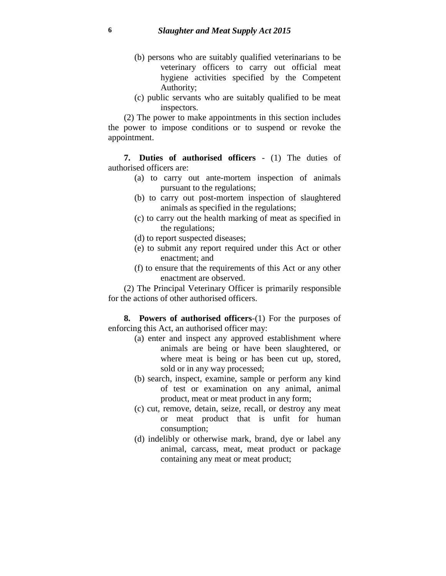- (b) persons who are suitably qualified veterinarians to be veterinary officers to carry out official meat hygiene activities specified by the Competent Authority;
- (c) public servants who are suitably qualified to be meat inspectors.

(2) The power to make appointments in this section includes the power to impose conditions or to suspend or revoke the appointment.

**7. Duties of authorised officers** - (1) The duties of authorised officers are:

- (a) to carry out ante-mortem inspection of animals pursuant to the regulations;
- (b) to carry out post-mortem inspection of slaughtered animals as specified in the regulations;
- (c) to carry out the health marking of meat as specified in the regulations;
- (d) to report suspected diseases;
- (e) to submit any report required under this Act or other enactment; and
- (f) to ensure that the requirements of this Act or any other enactment are observed.

(2) The Principal Veterinary Officer is primarily responsible for the actions of other authorised officers.

**8. Powers of authorised officers**-(1) For the purposes of enforcing this Act, an authorised officer may:

- (a) enter and inspect any approved establishment where animals are being or have been slaughtered, or where meat is being or has been cut up, stored, sold or in any way processed;
- (b) search, inspect, examine, sample or perform any kind of test or examination on any animal, animal product, meat or meat product in any form;
- (c) cut, remove, detain, seize, recall, or destroy any meat or meat product that is unfit for human consumption;
- (d) indelibly or otherwise mark, brand, dye or label any animal, carcass, meat, meat product or package containing any meat or meat product;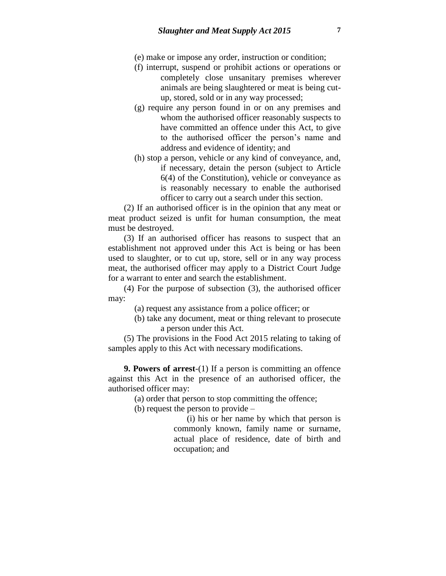- (e) make or impose any order, instruction or condition;
- (f) interrupt, suspend or prohibit actions or operations or completely close unsanitary premises wherever animals are being slaughtered or meat is being cutup, stored, sold or in any way processed;
- (g) require any person found in or on any premises and whom the authorised officer reasonably suspects to have committed an offence under this Act, to give to the authorised officer the person's name and address and evidence of identity; and
- (h) stop a person, vehicle or any kind of conveyance, and, if necessary, detain the person (subject to Article 6(4) of the Constitution), vehicle or conveyance as is reasonably necessary to enable the authorised officer to carry out a search under this section.

(2) If an authorised officer is in the opinion that any meat or meat product seized is unfit for human consumption, the meat must be destroyed.

(3) If an authorised officer has reasons to suspect that an establishment not approved under this Act is being or has been used to slaughter, or to cut up, store, sell or in any way process meat, the authorised officer may apply to a District Court Judge for a warrant to enter and search the establishment.

(4) For the purpose of subsection (3), the authorised officer may:

(a) request any assistance from a police officer; or

(b) take any document, meat or thing relevant to prosecute a person under this Act.

(5) The provisions in the Food Act 2015 relating to taking of samples apply to this Act with necessary modifications.

**9. Powers of arrest**-(1) If a person is committing an offence against this Act in the presence of an authorised officer, the authorised officer may:

(a) order that person to stop committing the offence;

(b) request the person to provide –

(i) his or her name by which that person is commonly known, family name or surname, actual place of residence, date of birth and occupation; and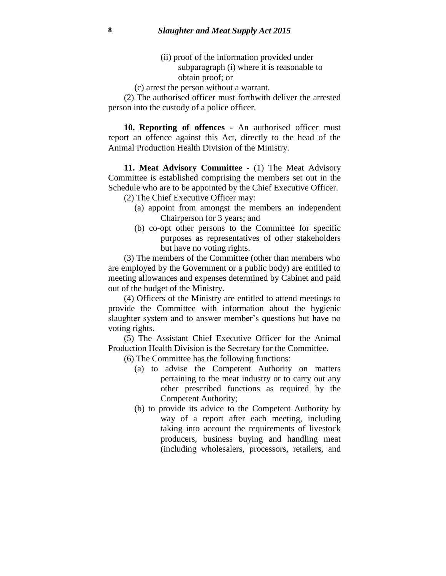- (ii) proof of the information provided under subparagraph (i) where it is reasonable to obtain proof; or
- (c) arrest the person without a warrant.

(2) The authorised officer must forthwith deliver the arrested person into the custody of a police officer.

**10. Reporting of offences** - An authorised officer must report an offence against this Act, directly to the head of the Animal Production Health Division of the Ministry.

**11. Meat Advisory Committee** - (1) The Meat Advisory Committee is established comprising the members set out in the Schedule who are to be appointed by the Chief Executive Officer.

(2) The Chief Executive Officer may:

- (a) appoint from amongst the members an independent Chairperson for 3 years; and
- (b) co-opt other persons to the Committee for specific purposes as representatives of other stakeholders but have no voting rights.

(3) The members of the Committee (other than members who are employed by the Government or a public body) are entitled to meeting allowances and expenses determined by Cabinet and paid out of the budget of the Ministry.

(4) Officers of the Ministry are entitled to attend meetings to provide the Committee with information about the hygienic slaughter system and to answer member's questions but have no voting rights.

(5) The Assistant Chief Executive Officer for the Animal Production Health Division is the Secretary for the Committee.

(6) The Committee has the following functions:

- (a) to advise the Competent Authority on matters pertaining to the meat industry or to carry out any other prescribed functions as required by the Competent Authority;
- (b) to provide its advice to the Competent Authority by way of a report after each meeting, including taking into account the requirements of livestock producers, business buying and handling meat (including wholesalers, processors, retailers, and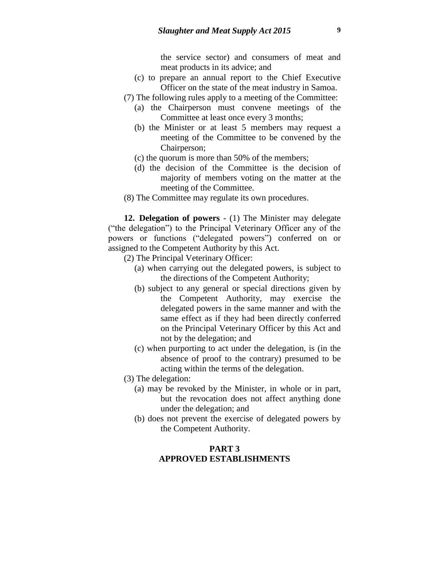the service sector) and consumers of meat and meat products in its advice; and

- (c) to prepare an annual report to the Chief Executive Officer on the state of the meat industry in Samoa.
- (7) The following rules apply to a meeting of the Committee:
	- (a) the Chairperson must convene meetings of the Committee at least once every 3 months;
	- (b) the Minister or at least 5 members may request a meeting of the Committee to be convened by the Chairperson;
	- (c) the quorum is more than 50% of the members;
	- (d) the decision of the Committee is the decision of majority of members voting on the matter at the meeting of the Committee.
- (8) The Committee may regulate its own procedures.

**12. Delegation of powers** - (1) The Minister may delegate ("the delegation") to the Principal Veterinary Officer any of the powers or functions ("delegated powers") conferred on or assigned to the Competent Authority by this Act.

- (2) The Principal Veterinary Officer:
	- (a) when carrying out the delegated powers, is subject to the directions of the Competent Authority;
	- (b) subject to any general or special directions given by the Competent Authority, may exercise the delegated powers in the same manner and with the same effect as if they had been directly conferred on the Principal Veterinary Officer by this Act and not by the delegation; and
	- (c) when purporting to act under the delegation, is (in the absence of proof to the contrary) presumed to be acting within the terms of the delegation.
- (3) The delegation:
	- (a) may be revoked by the Minister, in whole or in part, but the revocation does not affect anything done under the delegation; and
	- (b) does not prevent the exercise of delegated powers by the Competent Authority.

## **PART 3 APPROVED ESTABLISHMENTS**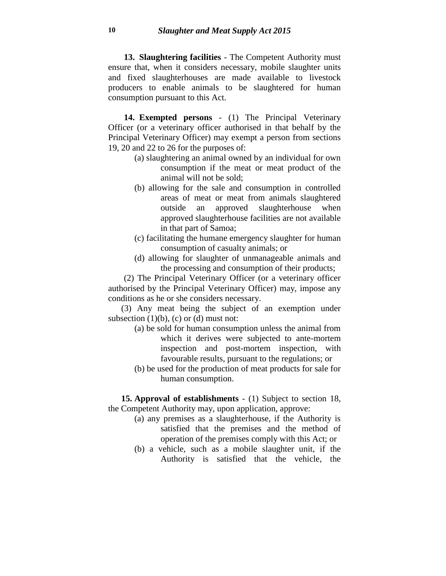**13. Slaughtering facilities** - The Competent Authority must ensure that, when it considers necessary, mobile slaughter units and fixed slaughterhouses are made available to livestock producers to enable animals to be slaughtered for human consumption pursuant to this Act.

**14. Exempted persons** - (1) The Principal Veterinary Officer (or a veterinary officer authorised in that behalf by the Principal Veterinary Officer) may exempt a person from sections 19, 20 and 22 to 26 for the purposes of:

- (a) slaughtering an animal owned by an individual for own consumption if the meat or meat product of the animal will not be sold;
- (b) allowing for the sale and consumption in controlled areas of meat or meat from animals slaughtered outside an approved slaughterhouse when approved slaughterhouse facilities are not available in that part of Samoa;
- (c) facilitating the humane emergency slaughter for human consumption of casualty animals; or
- (d) allowing for slaughter of unmanageable animals and the processing and consumption of their products;

(2) The Principal Veterinary Officer (or a veterinary officer authorised by the Principal Veterinary Officer) may, impose any conditions as he or she considers necessary.

(3) Any meat being the subject of an exemption under subsection  $(1)(b)$ ,  $(c)$  or  $(d)$  must not:

- (a) be sold for human consumption unless the animal from which it derives were subjected to ante-mortem inspection and post-mortem inspection, with favourable results, pursuant to the regulations; or
- (b) be used for the production of meat products for sale for human consumption.

**15. Approval of establishments** - (1) Subject to section 18, the Competent Authority may, upon application, approve:

- (a) any premises as a slaughterhouse, if the Authority is satisfied that the premises and the method of operation of the premises comply with this Act; or
- (b) a vehicle, such as a mobile slaughter unit, if the Authority is satisfied that the vehicle, the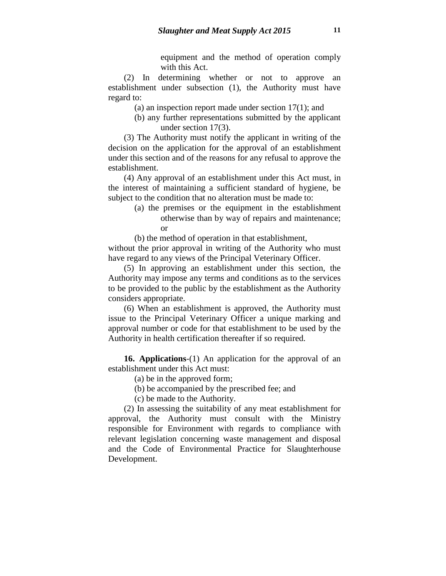equipment and the method of operation comply with this Act.

(2) In determining whether or not to approve an establishment under subsection (1), the Authority must have regard to:

- (a) an inspection report made under section 17(1); and
- (b) any further representations submitted by the applicant under section 17(3).

(3) The Authority must notify the applicant in writing of the decision on the application for the approval of an establishment under this section and of the reasons for any refusal to approve the establishment.

(4) Any approval of an establishment under this Act must, in the interest of maintaining a sufficient standard of hygiene, be subject to the condition that no alteration must be made to:

> (a) the premises or the equipment in the establishment otherwise than by way of repairs and maintenance; or

(b) the method of operation in that establishment,

without the prior approval in writing of the Authority who must have regard to any views of the Principal Veterinary Officer.

(5) In approving an establishment under this section, the Authority may impose any terms and conditions as to the services to be provided to the public by the establishment as the Authority considers appropriate.

(6) When an establishment is approved, the Authority must issue to the Principal Veterinary Officer a unique marking and approval number or code for that establishment to be used by the Authority in health certification thereafter if so required.

**16. Applications**-(1) An application for the approval of an establishment under this Act must:

(a) be in the approved form;

(b) be accompanied by the prescribed fee; and

(c) be made to the Authority.

(2) In assessing the suitability of any meat establishment for approval, the Authority must consult with the Ministry responsible for Environment with regards to compliance with relevant legislation concerning waste management and disposal and the Code of Environmental Practice for Slaughterhouse Development.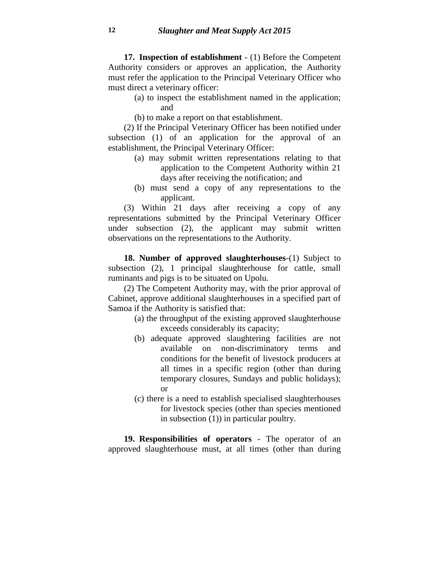**17. Inspection of establishment** - (1) Before the Competent Authority considers or approves an application, the Authority must refer the application to the Principal Veterinary Officer who must direct a veterinary officer:

- (a) to inspect the establishment named in the application; and
- (b) to make a report on that establishment.

(2) If the Principal Veterinary Officer has been notified under subsection (1) of an application for the approval of an establishment, the Principal Veterinary Officer:

- (a) may submit written representations relating to that application to the Competent Authority within 21 days after receiving the notification; and
- (b) must send a copy of any representations to the applicant.

(3) Within 21 days after receiving a copy of any representations submitted by the Principal Veterinary Officer under subsection (2), the applicant may submit written observations on the representations to the Authority.

**18. Number of approved slaughterhouses**-(1) Subject to subsection (2), 1 principal slaughterhouse for cattle, small ruminants and pigs is to be situated on Upolu*.*

(2) The Competent Authority may, with the prior approval of Cabinet, approve additional slaughterhouses in a specified part of Samoa if the Authority is satisfied that:

- (a) the throughput of the existing approved slaughterhouse exceeds considerably its capacity;
- (b) adequate approved slaughtering facilities are not available on non-discriminatory terms and conditions for the benefit of livestock producers at all times in a specific region (other than during temporary closures, Sundays and public holidays); or
- (c) there is a need to establish specialised slaughterhouses for livestock species (other than species mentioned in subsection (1)) in particular poultry.

**19. Responsibilities of operators** - The operator of an approved slaughterhouse must, at all times (other than during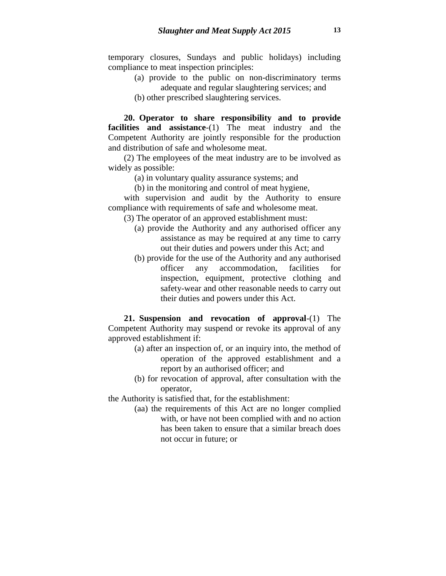temporary closures, Sundays and public holidays) including compliance to meat inspection principles:

- (a) provide to the public on non-discriminatory terms adequate and regular slaughtering services; and
- (b) other prescribed slaughtering services.

**20. Operator to share responsibility and to provide facilities and assistance-(1)** The meat industry and the Competent Authority are jointly responsible for the production and distribution of safe and wholesome meat.

(2) The employees of the meat industry are to be involved as widely as possible:

(a) in voluntary quality assurance systems; and

(b) in the monitoring and control of meat hygiene,

with supervision and audit by the Authority to ensure compliance with requirements of safe and wholesome meat.

(3) The operator of an approved establishment must:

- (a) provide the Authority and any authorised officer any assistance as may be required at any time to carry out their duties and powers under this Act; and
- (b) provide for the use of the Authority and any authorised officer any accommodation, facilities for inspection, equipment, protective clothing and safety-wear and other reasonable needs to carry out their duties and powers under this Act.

**21. Suspension and revocation of approval**-(1) The Competent Authority may suspend or revoke its approval of any approved establishment if:

- (a) after an inspection of, or an inquiry into, the method of operation of the approved establishment and a report by an authorised officer; and
- (b) for revocation of approval, after consultation with the operator,

the Authority is satisfied that, for the establishment:

(aa) the requirements of this Act are no longer complied with, or have not been complied with and no action has been taken to ensure that a similar breach does not occur in future; or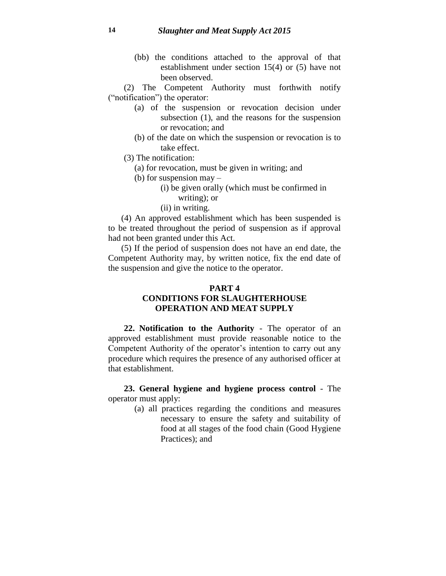(bb) the conditions attached to the approval of that establishment under section 15(4) or (5) have not been observed.

(2) The Competent Authority must forthwith notify ("notification") the operator:

- (a) of the suspension or revocation decision under subsection (1), and the reasons for the suspension or revocation; and
- (b) of the date on which the suspension or revocation is to take effect.
- (3) The notification:
	- (a) for revocation, must be given in writing; and
	- (b) for suspension may  $-$ 
		- (i) be given orally (which must be confirmed in writing); or
		- (ii) in writing.

(4) An approved establishment which has been suspended is to be treated throughout the period of suspension as if approval had not been granted under this Act.

(5) If the period of suspension does not have an end date, the Competent Authority may, by written notice, fix the end date of the suspension and give the notice to the operator.

#### **PART 4**

## **CONDITIONS FOR SLAUGHTERHOUSE OPERATION AND MEAT SUPPLY**

**22. Notification to the Authority** - The operator of an approved establishment must provide reasonable notice to the Competent Authority of the operator's intention to carry out any procedure which requires the presence of any authorised officer at that establishment.

**23. General hygiene and hygiene process control** - The operator must apply:

> (a) all practices regarding the conditions and measures necessary to ensure the safety and suitability of food at all stages of the food chain (Good Hygiene Practices); and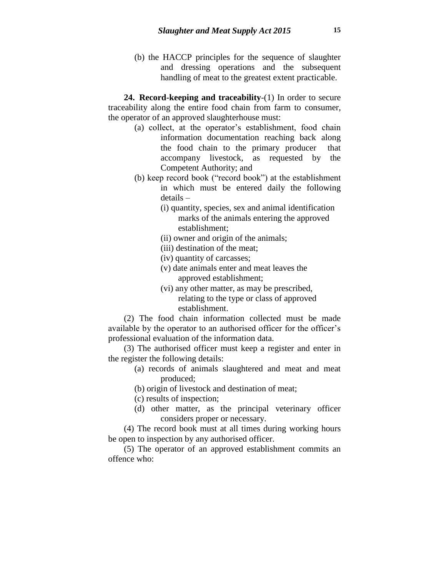(b) the HACCP principles for the sequence of slaughter and dressing operations and the subsequent handling of meat to the greatest extent practicable.

**24. Record-keeping and traceability**-(1) In order to secure traceability along the entire food chain from farm to consumer, the operator of an approved slaughterhouse must:

- (a) collect, at the operator's establishment, food chain information documentation reaching back along the food chain to the primary producer that accompany livestock, as requested by the Competent Authority; and
- (b) keep record book ("record book") at the establishment in which must be entered daily the following details –
	- (i) quantity, species, sex and animal identification marks of the animals entering the approved establishment;
	- (ii) owner and origin of the animals;
	- (iii) destination of the meat;
	- (iv) quantity of carcasses;
	- (v) date animals enter and meat leaves the approved establishment;
	- (vi) any other matter, as may be prescribed, relating to the type or class of approved establishment.

(2) The food chain information collected must be made available by the operator to an authorised officer for the officer's professional evaluation of the information data.

(3) The authorised officer must keep a register and enter in the register the following details:

> (a) records of animals slaughtered and meat and meat produced;

(b) origin of livestock and destination of meat;

- (c) results of inspection;
- (d) other matter, as the principal veterinary officer considers proper or necessary.

(4) The record book must at all times during working hours be open to inspection by any authorised officer.

(5) The operator of an approved establishment commits an offence who: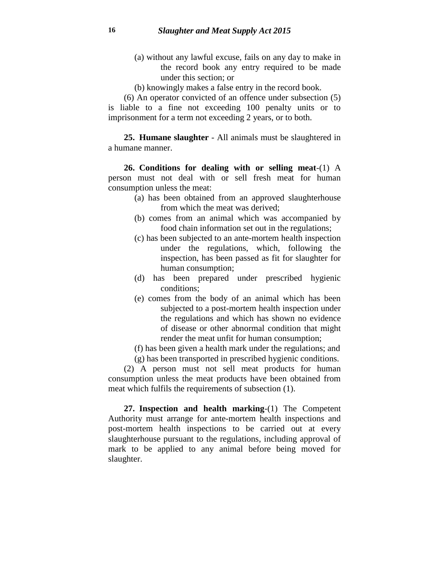- (a) without any lawful excuse, fails on any day to make in the record book any entry required to be made under this section; or
- (b) knowingly makes a false entry in the record book.

(6) An operator convicted of an offence under subsection (5) is liable to a fine not exceeding 100 penalty units or to imprisonment for a term not exceeding 2 years, or to both.

**25. Humane slaughter** - All animals must be slaughtered in a humane manner.

**26. Conditions for dealing with or selling meat**-(1) A person must not deal with or sell fresh meat for human consumption unless the meat:

- (a) has been obtained from an approved slaughterhouse from which the meat was derived;
- (b) comes from an animal which was accompanied by food chain information set out in the regulations;
- (c) has been subjected to an ante-mortem health inspection under the regulations, which, following the inspection, has been passed as fit for slaughter for human consumption;
- (d) has been prepared under prescribed hygienic conditions;
- (e) comes from the body of an animal which has been subjected to a post-mortem health inspection under the regulations and which has shown no evidence of disease or other abnormal condition that might render the meat unfit for human consumption;
- (f) has been given a health mark under the regulations; and (g) has been transported in prescribed hygienic conditions.

(2) A person must not sell meat products for human consumption unless the meat products have been obtained from meat which fulfils the requirements of subsection (1).

**27. Inspection and health marking**-(1) The Competent Authority must arrange for ante-mortem health inspections and post-mortem health inspections to be carried out at every slaughterhouse pursuant to the regulations, including approval of mark to be applied to any animal before being moved for slaughter.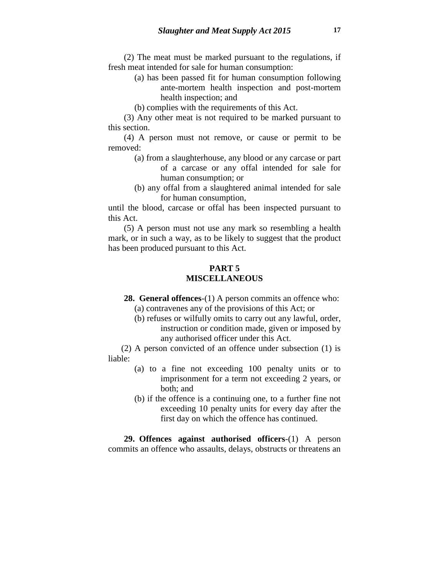(2) The meat must be marked pursuant to the regulations, if fresh meat intended for sale for human consumption:

- (a) has been passed fit for human consumption following ante-mortem health inspection and post-mortem health inspection; and
- (b) complies with the requirements of this Act.

(3) Any other meat is not required to be marked pursuant to this section.

(4) A person must not remove, or cause or permit to be removed:

- (a) from a slaughterhouse, any blood or any carcase or part of a carcase or any offal intended for sale for human consumption; or
- (b) any offal from a slaughtered animal intended for sale for human consumption,

until the blood, carcase or offal has been inspected pursuant to this Act.

(5) A person must not use any mark so resembling a health mark, or in such a way, as to be likely to suggest that the product has been produced pursuant to this Act.

## **PART 5 MISCELLANEOUS**

- **28. General offences**-(1) A person commits an offence who: (a) contravenes any of the provisions of this Act; or
	- (b) refuses or wilfully omits to carry out any lawful, order, instruction or condition made, given or imposed by any authorised officer under this Act.

(2) A person convicted of an offence under subsection (1) is liable:

- (a) to a fine not exceeding 100 penalty units or to imprisonment for a term not exceeding 2 years, or both; and
- (b) if the offence is a continuing one, to a further fine not exceeding 10 penalty units for every day after the first day on which the offence has continued.

**29. Offences against authorised officers**-(1) A person commits an offence who assaults, delays, obstructs or threatens an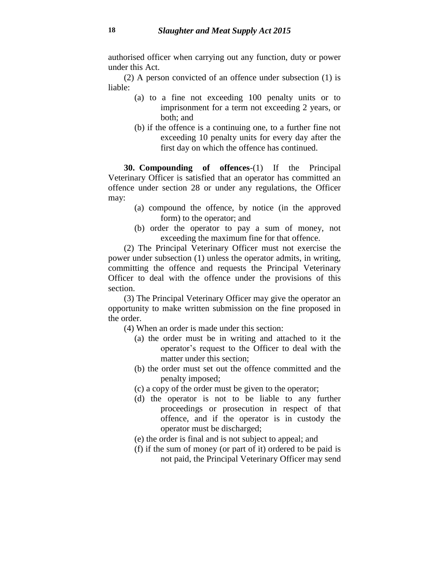authorised officer when carrying out any function, duty or power under this Act.

(2) A person convicted of an offence under subsection (1) is liable:

- (a) to a fine not exceeding 100 penalty units or to imprisonment for a term not exceeding 2 years, or both; and
- (b) if the offence is a continuing one, to a further fine not exceeding 10 penalty units for every day after the first day on which the offence has continued.

**30. Compounding of offences**-(1) If the Principal Veterinary Officer is satisfied that an operator has committed an offence under section 28 or under any regulations, the Officer may:

- (a) compound the offence, by notice (in the approved form) to the operator; and
- (b) order the operator to pay a sum of money, not exceeding the maximum fine for that offence.

(2) The Principal Veterinary Officer must not exercise the power under subsection (1) unless the operator admits, in writing, committing the offence and requests the Principal Veterinary Officer to deal with the offence under the provisions of this section.

(3) The Principal Veterinary Officer may give the operator an opportunity to make written submission on the fine proposed in the order.

- (4) When an order is made under this section:
	- (a) the order must be in writing and attached to it the operator's request to the Officer to deal with the matter under this section;
	- (b) the order must set out the offence committed and the penalty imposed;
	- (c) a copy of the order must be given to the operator;
	- (d) the operator is not to be liable to any further proceedings or prosecution in respect of that offence, and if the operator is in custody the operator must be discharged;
	- (e) the order is final and is not subject to appeal; and
	- (f) if the sum of money (or part of it) ordered to be paid is not paid, the Principal Veterinary Officer may send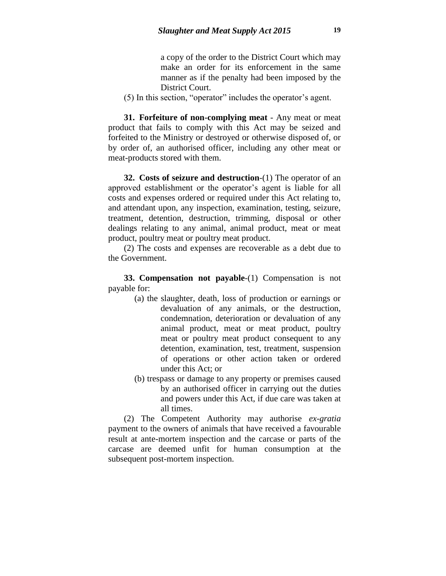a copy of the order to the District Court which may make an order for its enforcement in the same manner as if the penalty had been imposed by the District Court.

(5) In this section, "operator" includes the operator's agent.

**31. Forfeiture of non-complying meat** - Any meat or meat product that fails to comply with this Act may be seized and forfeited to the Ministry or destroyed or otherwise disposed of, or by order of, an authorised officer, including any other meat or meat-products stored with them.

**32. Costs of seizure and destruction**-(1) The operator of an approved establishment or the operator's agent is liable for all costs and expenses ordered or required under this Act relating to, and attendant upon, any inspection, examination, testing, seizure, treatment, detention, destruction, trimming, disposal or other dealings relating to any animal, animal product, meat or meat product, poultry meat or poultry meat product.

(2) The costs and expenses are recoverable as a debt due to the Government.

**33. Compensation not payable**-(1) Compensation is not payable for:

- (a) the slaughter, death, loss of production or earnings or devaluation of any animals, or the destruction, condemnation, deterioration or devaluation of any animal product, meat or meat product, poultry meat or poultry meat product consequent to any detention, examination, test, treatment, suspension of operations or other action taken or ordered under this Act; or
- (b) trespass or damage to any property or premises caused by an authorised officer in carrying out the duties and powers under this Act, if due care was taken at all times.

(2) The Competent Authority may authorise *ex-gratia* payment to the owners of animals that have received a favourable result at ante-mortem inspection and the carcase or parts of the carcase are deemed unfit for human consumption at the subsequent post-mortem inspection.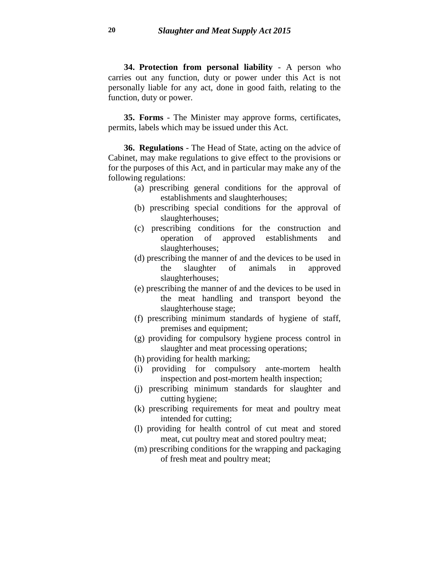**34. Protection from personal liability** - A person who carries out any function, duty or power under this Act is not personally liable for any act, done in good faith, relating to the function, duty or power.

**35. Forms** - The Minister may approve forms, certificates, permits, labels which may be issued under this Act.

**36. Regulations** - The Head of State, acting on the advice of Cabinet, may make regulations to give effect to the provisions or for the purposes of this Act, and in particular may make any of the following regulations:

- (a) prescribing general conditions for the approval of establishments and slaughterhouses;
- (b) prescribing special conditions for the approval of slaughterhouses;
- (c) prescribing conditions for the construction and operation of approved establishments and slaughterhouses;
- (d) prescribing the manner of and the devices to be used in the slaughter of animals in approved slaughterhouses;
- (e) prescribing the manner of and the devices to be used in the meat handling and transport beyond the slaughterhouse stage;
- (f) prescribing minimum standards of hygiene of staff, premises and equipment;
- (g) providing for compulsory hygiene process control in slaughter and meat processing operations;
- (h) providing for health marking;
- (i) providing for compulsory ante-mortem health inspection and post-mortem health inspection;
- (j) prescribing minimum standards for slaughter and cutting hygiene;
- (k) prescribing requirements for meat and poultry meat intended for cutting;
- (l) providing for health control of cut meat and stored meat, cut poultry meat and stored poultry meat;
- (m) prescribing conditions for the wrapping and packaging of fresh meat and poultry meat;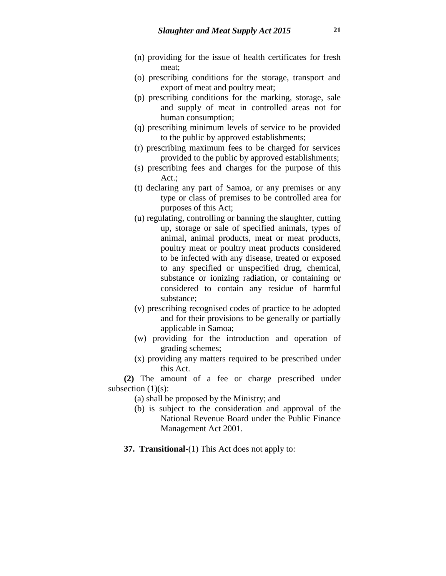- (n) providing for the issue of health certificates for fresh meat;
- (o) prescribing conditions for the storage, transport and export of meat and poultry meat;
- (p) prescribing conditions for the marking, storage, sale and supply of meat in controlled areas not for human consumption;
- (q) prescribing minimum levels of service to be provided to the public by approved establishments;
- (r) prescribing maximum fees to be charged for services provided to the public by approved establishments;
- (s) prescribing fees and charges for the purpose of this Act.;
- (t) declaring any part of Samoa, or any premises or any type or class of premises to be controlled area for purposes of this Act;
- (u) regulating, controlling or banning the slaughter, cutting up, storage or sale of specified animals, types of animal, animal products, meat or meat products, poultry meat or poultry meat products considered to be infected with any disease, treated or exposed to any specified or unspecified drug, chemical, substance or ionizing radiation, or containing or considered to contain any residue of harmful substance;
- (v) prescribing recognised codes of practice to be adopted and for their provisions to be generally or partially applicable in Samoa;
- (w) providing for the introduction and operation of grading schemes;
- (x) providing any matters required to be prescribed under this Act.

**(2)** The amount of a fee or charge prescribed under subsection  $(1)(s)$ :

- (a) shall be proposed by the Ministry; and
- (b) is subject to the consideration and approval of the National Revenue Board under the Public Finance Management Act 2001.
- **37. Transitional**-(1) This Act does not apply to: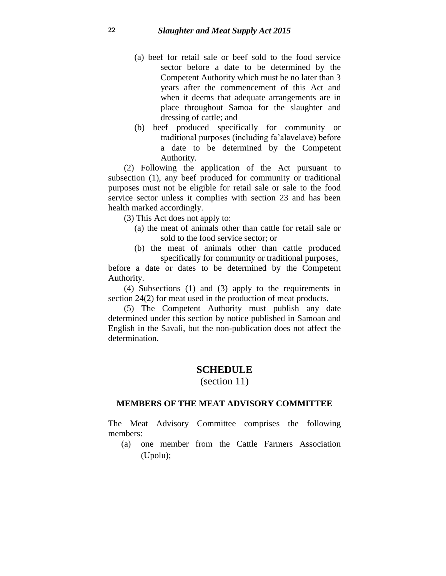- (a) beef for retail sale or beef sold to the food service sector before a date to be determined by the Competent Authority which must be no later than 3 years after the commencement of this Act and when it deems that adequate arrangements are in place throughout Samoa for the slaughter and dressing of cattle; and
- (b) beef produced specifically for community or traditional purposes (including fa'alavelave) before a date to be determined by the Competent Authority.

(2) Following the application of the Act pursuant to subsection (1), any beef produced for community or traditional purposes must not be eligible for retail sale or sale to the food service sector unless it complies with section 23 and has been health marked accordingly.

(3) This Act does not apply to:

- (a) the meat of animals other than cattle for retail sale or sold to the food service sector; or
- (b) the meat of animals other than cattle produced specifically for community or traditional purposes,

before a date or dates to be determined by the Competent Authority.

(4) Subsections (1) and (3) apply to the requirements in section 24(2) for meat used in the production of meat products.

(5) The Competent Authority must publish any date determined under this section by notice published in Samoan and English in the Savali, but the non-publication does not affect the determination.

## **SCHEDULE**

(section 11)

#### **MEMBERS OF THE MEAT ADVISORY COMMITTEE**

The Meat Advisory Committee comprises the following members:

(a) one member from the Cattle Farmers Association (Upolu);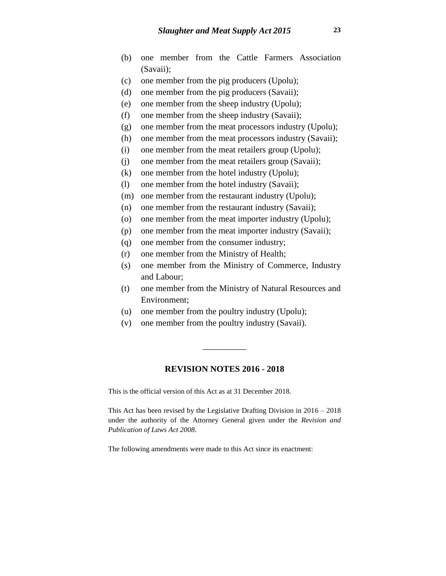- (b) one member from the Cattle Farmers Association (Savaii);
- (c) one member from the pig producers (Upolu);
- (d) one member from the pig producers (Savaii);
- (e) one member from the sheep industry (Upolu);
- (f) one member from the sheep industry (Savaii);
- (g) one member from the meat processors industry (Upolu);
- (h) one member from the meat processors industry (Savaii);
- (i) one member from the meat retailers group (Upolu);
- (j) one member from the meat retailers group (Savaii);
- (k) one member from the hotel industry (Upolu);
- (l) one member from the hotel industry (Savaii);
- (m) one member from the restaurant industry (Upolu);
- (n) one member from the restaurant industry (Savaii);
- (o) one member from the meat importer industry (Upolu);
- (p) one member from the meat importer industry (Savaii);
- (q) one member from the consumer industry;
- (r) one member from the Ministry of Health;
- (s) one member from the Ministry of Commerce, Industry and Labour;
- (t) one member from the Ministry of Natural Resources and Environment;
- (u) one member from the poultry industry (Upolu);
- (v) one member from the poultry industry (Savaii).

#### **REVISION NOTES 2016 - 2018**

\_\_\_\_\_\_\_\_\_\_

This is the official version of this Act as at 31 December 2018.

This Act has been revised by the Legislative Drafting Division in 2016 – 2018 under the authority of the Attorney General given under the *Revision and Publication of Laws Act 2008*.

The following amendments were made to this Act since its enactment: